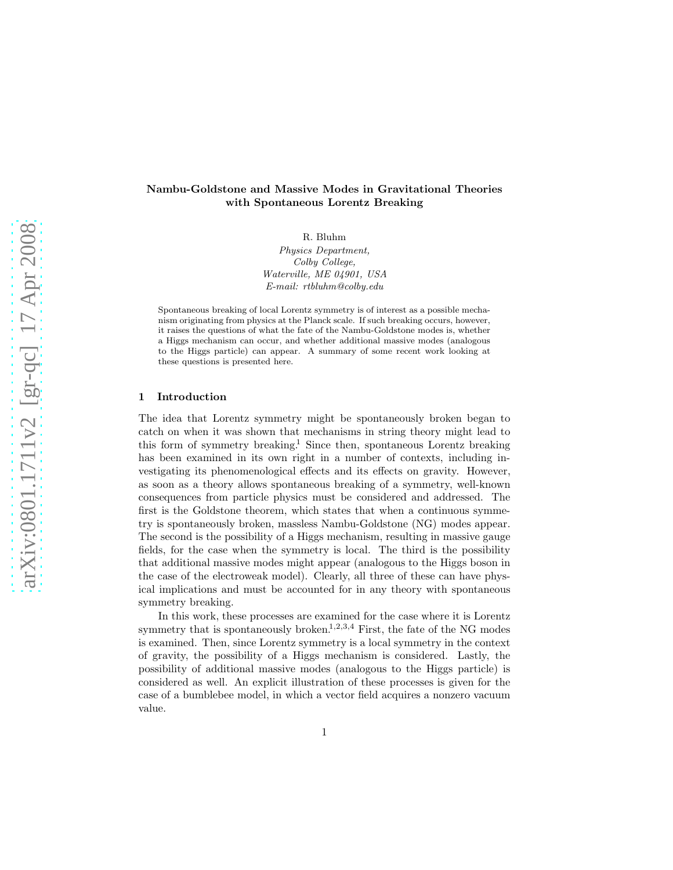# Nambu-Goldstone and Massive Modes in Gravitational Theories with Spontaneous Lorentz Breaking

R. Bluhm

*Physics Department, Colby College, Waterville, ME 04901, USA E-mail: rtbluhm@colby.edu*

Spontaneous breaking of local Lorentz symmetry is of interest as a possible mechanism originating from physics at the Planck scale. If such breaking occurs, however, it raises the questions of what the fate of the Nambu-Goldstone modes is, whether a Higgs mechanism can occur, and whether additional massive modes (analogous to the Higgs particle) can appear. A summary of some recent work looking at these questions is presented here.

# 1 Introduction

The idea that Lorentz symmetry might be spontaneously broken began to catch on when it was shown that mechanisms in string theory might lead to this form of symmetry breaking.<sup>1</sup> Since then, spontaneous Lorentz breaking has been examined in its own right in a number of contexts, including investigating its phenomenological effects and its effects on gravity. However, as soon as a theory allows spontaneous breaking of a symmetry, well-known consequences from particle physics must be considered and addressed. The first is the Goldstone theorem, which states that when a continuous symmetry is spontaneously broken, massless Nambu-Goldstone (NG) modes appear. The second is the possibility of a Higgs mechanism, resulting in massive gauge fields, for the case when the symmetry is local. The third is the possibility that additional massive modes might appear (analogous to the Higgs boson in the case of the electroweak model). Clearly, all three of these can have physical implications and must be accounted for in any theory with spontaneous symmetry breaking.

In this work, these processes are examined for the case where it is Lorentz symmetry that is spontaneously broken.<sup>1,2,3,4</sup> First, the fate of the NG modes is examined. Then, since Lorentz symmetry is a local symmetry in the context of gravity, the possibility of a Higgs mechanism is considered. Lastly, the possibility of additional massive modes (analogous to the Higgs particle) is considered as well. An explicit illustration of these processes is given for the case of a bumblebee model, in which a vector field acquires a nonzero vacuum value.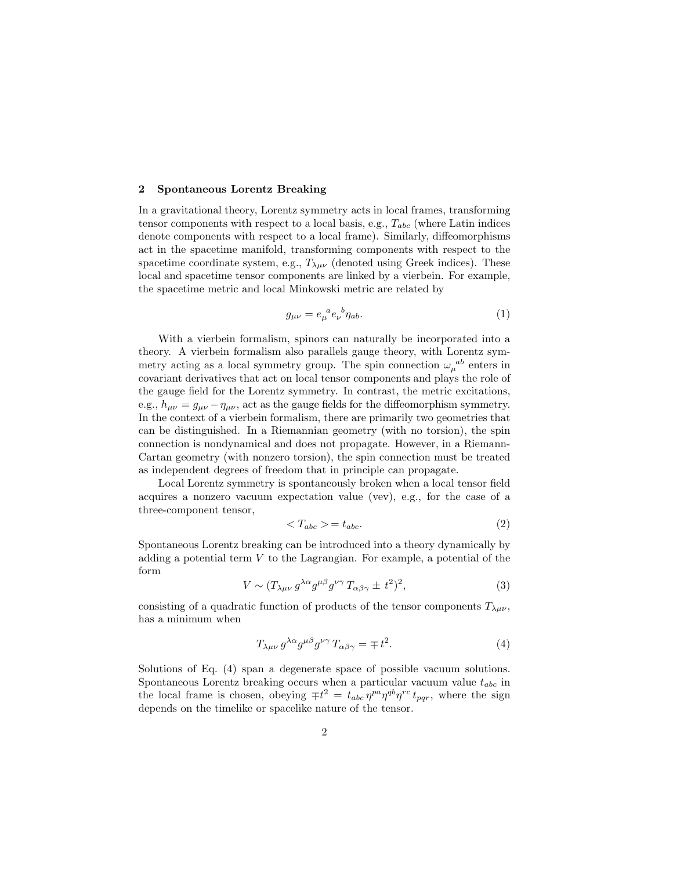# 2 Spontaneous Lorentz Breaking

In a gravitational theory, Lorentz symmetry acts in local frames, transforming tensor components with respect to a local basis, e.g.,  $T_{abc}$  (where Latin indices denote components with respect to a local frame). Similarly, diffeomorphisms act in the spacetime manifold, transforming components with respect to the spacetime coordinate system, e.g.,  $T_{\lambda\mu\nu}$  (denoted using Greek indices). These local and spacetime tensor components are linked by a vierbein. For example, the spacetime metric and local Minkowski metric are related by

$$
g_{\mu\nu} = e_{\mu}^{\ a} e_{\nu}^{\ b} \eta_{ab}.
$$
 (1)

With a vierbein formalism, spinors can naturally be incorporated into a theory. A vierbein formalism also parallels gauge theory, with Lorentz symmetry acting as a local symmetry group. The spin connection  $\omega_{\mu}^{\ a b}$  enters in covariant derivatives that act on local tensor components and plays the role of the gauge field for the Lorentz symmetry. In contrast, the metric excitations, e.g.,  $h_{\mu\nu} = g_{\mu\nu} - \eta_{\mu\nu}$ , act as the gauge fields for the diffeomorphism symmetry. In the context of a vierbein formalism, there are primarily two geometries that can be distinguished. In a Riemannian geometry (with no torsion), the spin connection is nondynamical and does not propagate. However, in a Riemann-Cartan geometry (with nonzero torsion), the spin connection must be treated as independent degrees of freedom that in principle can propagate.

Local Lorentz symmetry is spontaneously broken when a local tensor field acquires a nonzero vacuum expectation value (vev), e.g., for the case of a three-component tensor,

$$
\langle T_{abc} \rangle = t_{abc}.\tag{2}
$$

Spontaneous Lorentz breaking can be introduced into a theory dynamically by adding a potential term  $V$  to the Lagrangian. For example, a potential of the form

$$
V \sim (T_{\lambda\mu\nu} g^{\lambda\alpha} g^{\mu\beta} g^{\nu\gamma} T_{\alpha\beta\gamma} \pm t^2)^2, \tag{3}
$$

consisting of a quadratic function of products of the tensor components  $T_{\lambda\mu\nu}$ , has a minimum when

$$
T_{\lambda\mu\nu} g^{\lambda\alpha} g^{\mu\beta} g^{\nu\gamma} T_{\alpha\beta\gamma} = \mp t^2.
$$
 (4)

Solutions of Eq. (4) span a degenerate space of possible vacuum solutions. Spontaneous Lorentz breaking occurs when a particular vacuum value  $t_{abc}$  in the local frame is chosen, obeying  $\mp t^2 = t_{abc} \eta^{pa} \eta^{qb} \eta^{rc} t_{pqr}$ , where the sign depends on the timelike or spacelike nature of the tensor.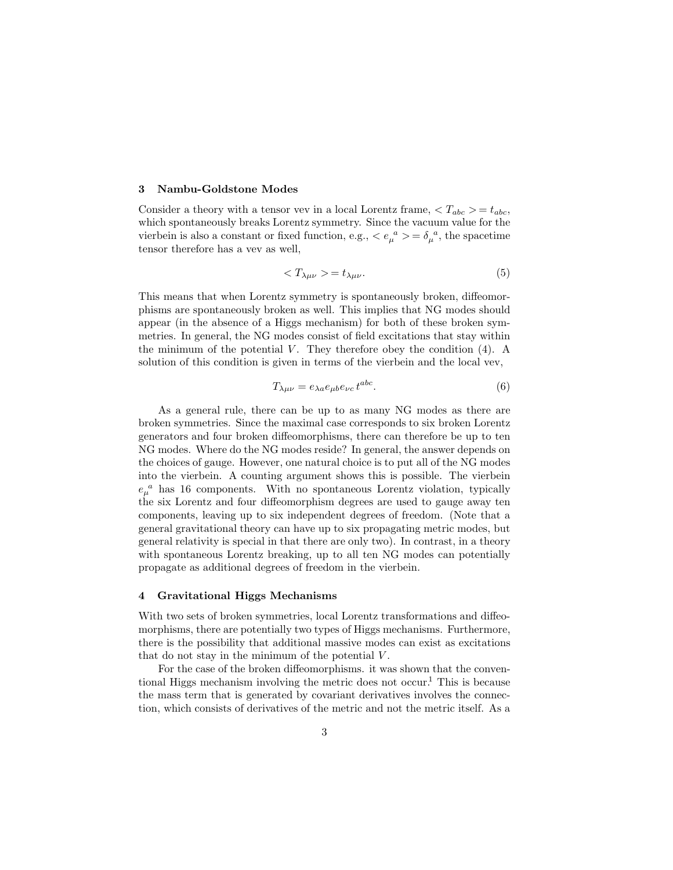#### 3 Nambu-Goldstone Modes

Consider a theory with a tensor vev in a local Lorentz frame,  $\langle T_{abc} \rangle = t_{abc}$ , which spontaneously breaks Lorentz symmetry. Since the vacuum value for the vierbein is also a constant or fixed function, e.g.,  $\langle e_{\mu}^{\ a} \rangle = \delta_{\mu}^{\ a}$ , the spacetime tensor therefore has a vev as well,

$$
\langle T_{\lambda\mu\nu} \rangle = t_{\lambda\mu\nu}.\tag{5}
$$

This means that when Lorentz symmetry is spontaneously broken, diffeomorphisms are spontaneously broken as well. This implies that NG modes should appear (in the absence of a Higgs mechanism) for both of these broken symmetries. In general, the NG modes consist of field excitations that stay within the minimum of the potential  $V$ . They therefore obey the condition  $(4)$ . A solution of this condition is given in terms of the vierbein and the local vev,

$$
T_{\lambda\mu\nu} = e_{\lambda a}e_{\mu b}e_{\nu c}t^{abc}.
$$
 (6)

As a general rule, there can be up to as many NG modes as there are broken symmetries. Since the maximal case corresponds to six broken Lorentz generators and four broken diffeomorphisms, there can therefore be up to ten NG modes. Where do the NG modes reside? In general, the answer depends on the choices of gauge. However, one natural choice is to put all of the NG modes into the vierbein. A counting argument shows this is possible. The vierbein  $e_{\mu}^{a}$  has 16 components. With no spontaneous Lorentz violation, typically the six Lorentz and four diffeomorphism degrees are used to gauge away ten components, leaving up to six independent degrees of freedom. (Note that a general gravitational theory can have up to six propagating metric modes, but general relativity is special in that there are only two). In contrast, in a theory with spontaneous Lorentz breaking, up to all ten NG modes can potentially propagate as additional degrees of freedom in the vierbein.

### 4 Gravitational Higgs Mechanisms

With two sets of broken symmetries, local Lorentz transformations and diffeomorphisms, there are potentially two types of Higgs mechanisms. Furthermore, there is the possibility that additional massive modes can exist as excitations that do not stay in the minimum of the potential  $V$ .

For the case of the broken diffeomorphisms. it was shown that the conventional Higgs mechanism involving the metric does not occur.<sup>1</sup> This is because the mass term that is generated by covariant derivatives involves the connection, which consists of derivatives of the metric and not the metric itself. As a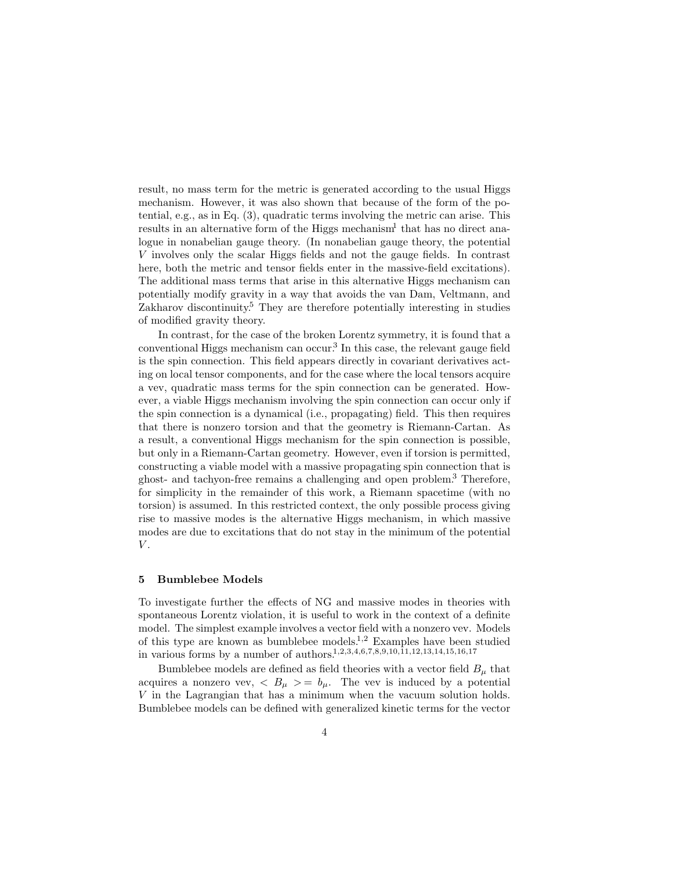result, no mass term for the metric is generated according to the usual Higgs mechanism. However, it was also shown that because of the form of the potential, e.g., as in Eq. (3), quadratic terms involving the metric can arise. This results in an alternative form of the Higgs mechanism<sup>1</sup> that has no direct analogue in nonabelian gauge theory. (In nonabelian gauge theory, the potential V involves only the scalar Higgs fields and not the gauge fields. In contrast here, both the metric and tensor fields enter in the massive-field excitations). The additional mass terms that arise in this alternative Higgs mechanism can potentially modify gravity in a way that avoids the van Dam, Veltmann, and Zakharov discontinuity.<sup>5</sup> They are therefore potentially interesting in studies of modified gravity theory.

In contrast, for the case of the broken Lorentz symmetry, it is found that a conventional Higgs mechanism can occur.<sup>3</sup> In this case, the relevant gauge field is the spin connection. This field appears directly in covariant derivatives acting on local tensor components, and for the case where the local tensors acquire a vev, quadratic mass terms for the spin connection can be generated. However, a viable Higgs mechanism involving the spin connection can occur only if the spin connection is a dynamical (i.e., propagating) field. This then requires that there is nonzero torsion and that the geometry is Riemann-Cartan. As a result, a conventional Higgs mechanism for the spin connection is possible, but only in a Riemann-Cartan geometry. However, even if torsion is permitted, constructing a viable model with a massive propagating spin connection that is ghost- and tachyon-free remains a challenging and open problem.<sup>3</sup> Therefore, for simplicity in the remainder of this work, a Riemann spacetime (with no torsion) is assumed. In this restricted context, the only possible process giving rise to massive modes is the alternative Higgs mechanism, in which massive modes are due to excitations that do not stay in the minimum of the potential  $V.$ 

### 5 Bumblebee Models

To investigate further the effects of NG and massive modes in theories with spontaneous Lorentz violation, it is useful to work in the context of a definite model. The simplest example involves a vector field with a nonzero vev. Models of this type are known as bumblebee models.<sup>1</sup>,<sup>2</sup> Examples have been studied in various forms by a number of authors.<sup>1</sup>,2,3,4,6,7,8,9,10,11,12,13,14,15,16,<sup>17</sup>

Bumblebee models are defined as field theories with a vector field  $B<sub>u</sub>$  that acquires a nonzero vev,  $\langle B_\mu \rangle = b_\mu$ . The vev is induced by a potential V in the Lagrangian that has a minimum when the vacuum solution holds. Bumblebee models can be defined with generalized kinetic terms for the vector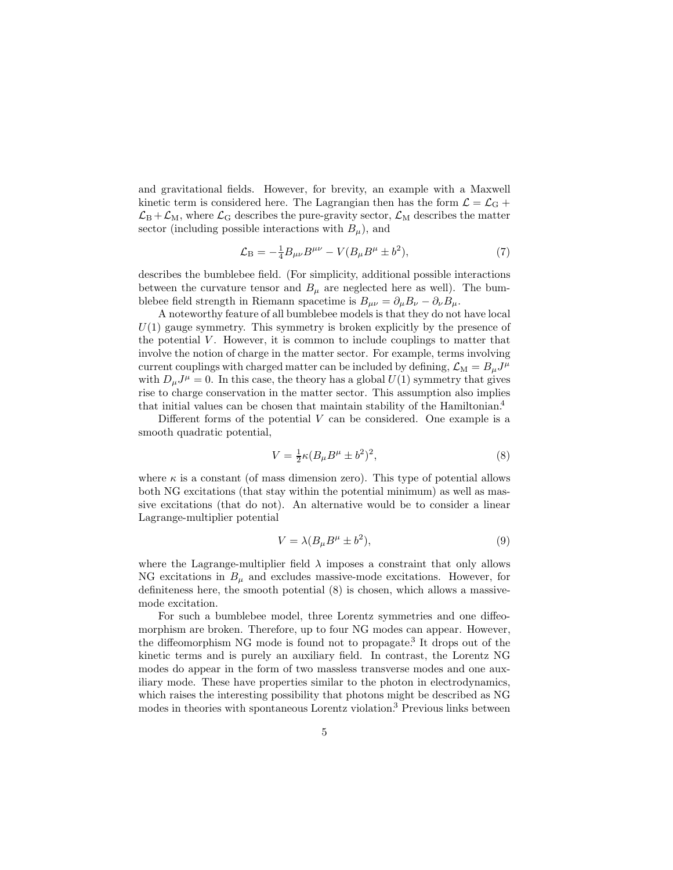and gravitational fields. However, for brevity, an example with a Maxwell kinetic term is considered here. The Lagrangian then has the form  $\mathcal{L} = \mathcal{L}_{\rm G}$  +  $\mathcal{L}_{\text{B}} + \mathcal{L}_{\text{M}}$ , where  $\mathcal{L}_{\text{G}}$  describes the pure-gravity sector,  $\mathcal{L}_{\text{M}}$  describes the matter sector (including possible interactions with  $B_{\mu}$ ), and

$$
\mathcal{L}_{\rm B} = -\frac{1}{4} B_{\mu\nu} B^{\mu\nu} - V (B_{\mu} B^{\mu} \pm b^2),\tag{7}
$$

describes the bumblebee field. (For simplicity, additional possible interactions between the curvature tensor and  $B_{\mu}$  are neglected here as well). The bumblebee field strength in Riemann spacetime is  $B_{\mu\nu} = \partial_{\mu}B_{\nu} - \partial_{\nu}B_{\mu}$ .

A noteworthy feature of all bumblebee models is that they do not have local  $U(1)$  gauge symmetry. This symmetry is broken explicitly by the presence of the potential  $V$ . However, it is common to include couplings to matter that involve the notion of charge in the matter sector. For example, terms involving current couplings with charged matter can be included by defining,  $\mathcal{L}_{\mathrm{M}} = B_{\mu}J^{\mu}$ with  $D_{\mu}J^{\mu}=0$ . In this case, the theory has a global  $U(1)$  symmetry that gives rise to charge conservation in the matter sector. This assumption also implies that initial values can be chosen that maintain stability of the Hamiltonian.<sup>4</sup>

Different forms of the potential  $V$  can be considered. One example is a smooth quadratic potential,

$$
V = \frac{1}{2}\kappa (B_{\mu}B^{\mu} \pm b^2)^2,
$$
\n<sup>(8)</sup>

where  $\kappa$  is a constant (of mass dimension zero). This type of potential allows both NG excitations (that stay within the potential minimum) as well as massive excitations (that do not). An alternative would be to consider a linear Lagrange-multiplier potential

$$
V = \lambda (B_{\mu}B^{\mu} \pm b^2), \tag{9}
$$

where the Lagrange-multiplier field  $\lambda$  imposes a constraint that only allows NG excitations in  $B_{\mu}$  and excludes massive-mode excitations. However, for definiteness here, the smooth potential (8) is chosen, which allows a massivemode excitation.

For such a bumblebee model, three Lorentz symmetries and one diffeomorphism are broken. Therefore, up to four NG modes can appear. However, the diffeomorphism NG mode is found not to propagate.<sup>3</sup> It drops out of the kinetic terms and is purely an auxiliary field. In contrast, the Lorentz NG modes do appear in the form of two massless transverse modes and one auxiliary mode. These have properties similar to the photon in electrodynamics, which raises the interesting possibility that photons might be described as NG modes in theories with spontaneous Lorentz violation.<sup>3</sup> Previous links between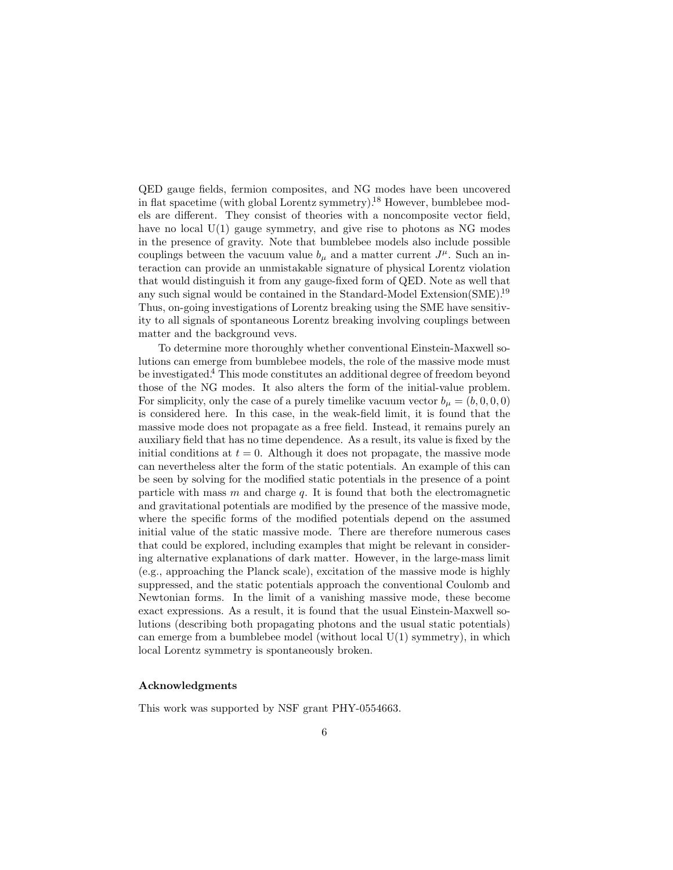QED gauge fields, fermion composites, and NG modes have been uncovered in flat spacetime (with global Lorentz symmetry).<sup>18</sup> However, bumblebee models are different. They consist of theories with a noncomposite vector field, have no local  $U(1)$  gauge symmetry, and give rise to photons as NG modes in the presence of gravity. Note that bumblebee models also include possible couplings between the vacuum value  $b_{\mu}$  and a matter current  $J^{\mu}$ . Such an interaction can provide an unmistakable signature of physical Lorentz violation that would distinguish it from any gauge-fixed form of QED. Note as well that any such signal would be contained in the Standard-Model Extension(SME).<sup>19</sup> Thus, on-going investigations of Lorentz breaking using the SME have sensitivity to all signals of spontaneous Lorentz breaking involving couplings between matter and the background vevs.

To determine more thoroughly whether conventional Einstein-Maxwell solutions can emerge from bumblebee models, the role of the massive mode must be investigated.<sup>4</sup> This mode constitutes an additional degree of freedom beyond those of the NG modes. It also alters the form of the initial-value problem. For simplicity, only the case of a purely timelike vacuum vector  $b_{\mu} = (b, 0, 0, 0)$ is considered here. In this case, in the weak-field limit, it is found that the massive mode does not propagate as a free field. Instead, it remains purely an auxiliary field that has no time dependence. As a result, its value is fixed by the initial conditions at  $t = 0$ . Although it does not propagate, the massive mode can nevertheless alter the form of the static potentials. An example of this can be seen by solving for the modified static potentials in the presence of a point particle with mass m and charge q. It is found that both the electromagnetic and gravitational potentials are modified by the presence of the massive mode, where the specific forms of the modified potentials depend on the assumed initial value of the static massive mode. There are therefore numerous cases that could be explored, including examples that might be relevant in considering alternative explanations of dark matter. However, in the large-mass limit (e.g., approaching the Planck scale), excitation of the massive mode is highly suppressed, and the static potentials approach the conventional Coulomb and Newtonian forms. In the limit of a vanishing massive mode, these become exact expressions. As a result, it is found that the usual Einstein-Maxwell solutions (describing both propagating photons and the usual static potentials) can emerge from a bumblebee model (without local U(1) symmetry), in which local Lorentz symmetry is spontaneously broken.

# Acknowledgments

This work was supported by NSF grant PHY-0554663.